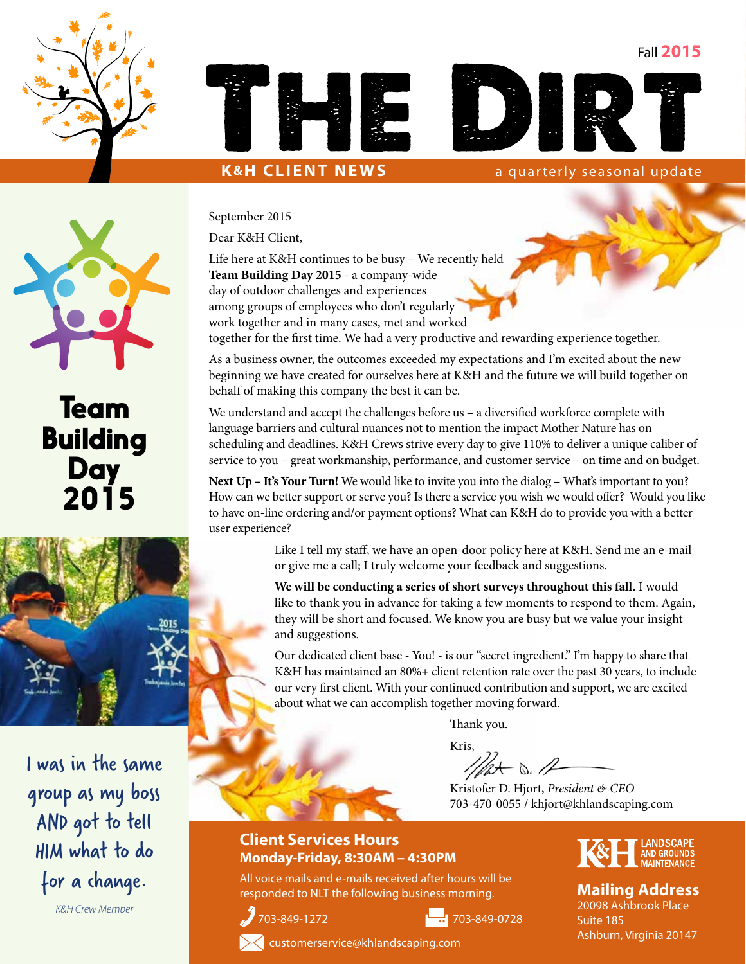Fall **2015**







**K&H CLIENT NEWS** a quarterly seasonal update



## Team **Building Day** 2015



I was in the same group as my boss AND got to tell HIM what to do for a change.

*K&H Crew Member*

September 2015

Dear K&H Client,

Life here at K&H continues to be busy – We recently held **Team Building Day 2015** - a company-wide day of outdoor challenges and experiences among groups of employees who don't regularly work together and in many cases, met and worked

together for the first time. We had a very productive and rewarding experience together.

As a business owner, the outcomes exceeded my expectations and I'm excited about the new beginning we have created for ourselves here at K&H and the future we will build together on behalf of making this company the best it can be.

We understand and accept the challenges before us – a diversified workforce complete with language barriers and cultural nuances not to mention the impact Mother Nature has on scheduling and deadlines. K&H Crews strive every day to give 110% to deliver a unique caliber of service to you – great workmanship, performance, and customer service – on time and on budget.

**Next Up – It's Your Turn!** We would like to invite you into the dialog – What's important to you? How can we better support or serve you? Is there a service you wish we would offer? Would you like to have on-line ordering and/or payment options? What can K&H do to provide you with a better user experience?

> Like I tell my staff, we have an open-door policy here at K&H. Send me an e-mail or give me a call; I truly welcome your feedback and suggestions.

> **We will be conducting a series of short surveys throughout this fall.** I would like to thank you in advance for taking a few moments to respond to them. Again, they will be short and focused. We know you are busy but we value your insight and suggestions.

> Our dedicated client base - You! - is our "secret ingredient." I'm happy to share that K&H has maintained an 80%+ client retention rate over the past 30 years, to include our very first client. With your continued contribution and support, we are excited about what we can accomplish together moving forward.

> > Thank you.

Kris,<br> $\mathcal{W}$ <br> $\mathcal{W}$ 

Kristofer D. Hjort, *President & CEO* 703-470-0055 / khjort@khlandscaping.com

#### **Client Services Hours Monday-Friday, 8:30AM – 4:30PM**

All voice mails and e-mails received after hours will be responded to NLT the following business morning.





#### **Mailing Address**

20098 Ashbrook Place Suite 185 Ashburn, Virginia 20147



customerservice@khlandscaping.com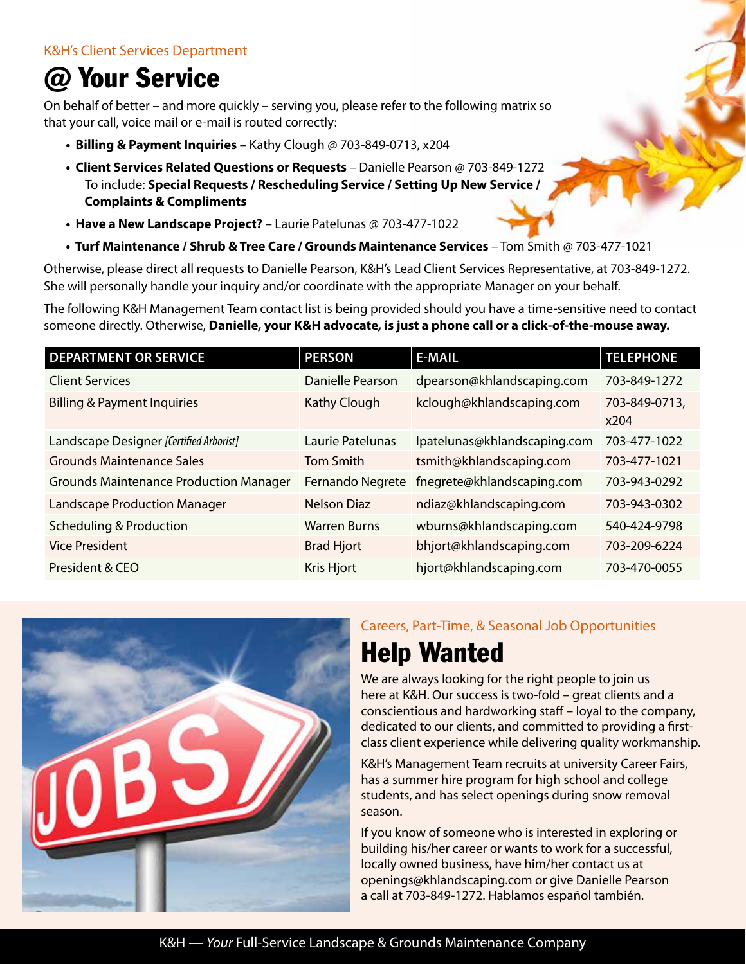# @ Your Service

On behalf of better – and more quickly – serving you, please refer to the following matrix so that your call, voice mail or e-mail is routed correctly:

- **Billing & Payment Inquiries** Kathy Clough @ 703-849-0713, x204
- **Client Services Related Questions or Requests** Danielle Pearson @ 703-849-1272 To include: **Special Requests / Rescheduling Service / Setting Up New Service / Complaints & Compliments**
- **Have a New Landscape Project?** Laurie Patelunas @ 703-477-1022
- **Turf Maintenance / Shrub & Tree Care / Grounds Maintenance Services** Tom Smith @ 703-477-1021

Otherwise, please direct all requests to Danielle Pearson, K&H's Lead Client Services Representative, at 703-849-1272. She will personally handle your inquiry and/or coordinate with the appropriate Manager on your behalf.

The following K&H Management Team contact list is being provided should you have a time-sensitive need to contact someone directly. Otherwise, **Danielle, your K&H advocate, is just a phone call or a click-of-the-mouse away.**

| <b>DEPARTMENT OR SERVICE</b>                  | <b>PERSON</b>           | <b>E-MAIL</b>                | <b>TELEPHONE</b>      |
|-----------------------------------------------|-------------------------|------------------------------|-----------------------|
| <b>Client Services</b>                        | <b>Danielle Pearson</b> | dpearson@khlandscaping.com   | 703-849-1272          |
| <b>Billing &amp; Payment Inquiries</b>        | <b>Kathy Clough</b>     | kclough@khlandscaping.com    | 703-849-0713,<br>x204 |
| Landscape Designer [Certified Arborist]       | Laurie Patelunas        | lpatelunas@khlandscaping.com | 703-477-1022          |
| <b>Grounds Maintenance Sales</b>              | <b>Tom Smith</b>        | tsmith@khlandscaping.com     | 703-477-1021          |
| <b>Grounds Maintenance Production Manager</b> | Fernando Negrete        | fnegrete@khlandscaping.com   | 703-943-0292          |
| <b>Landscape Production Manager</b>           | <b>Nelson Diaz</b>      | ndiaz@khlandscaping.com      | 703-943-0302          |
| <b>Scheduling &amp; Production</b>            | <b>Warren Burns</b>     | wburns@khlandscaping.com     | 540-424-9798          |
| <b>Vice President</b>                         | <b>Brad Hjort</b>       | bhjort@khlandscaping.com     | 703-209-6224          |
| President & CEO                               | <b>Kris Hjort</b>       | hjort@khlandscaping.com      | 703-470-0055          |



### Careers, Part-Time, & Seasonal Job Opportunities Help Wanted

We are always looking for the right people to join us here at K&H. Our success is two-fold – great clients and a conscientious and hardworking staff – loyal to the company, dedicated to our clients, and committed to providing a firstclass client experience while delivering quality workmanship.

K&H's Management Team recruits at university Career Fairs, has a summer hire program for high school and college students, and has select openings during snow removal season.

If you know of someone who is interested in exploring or building his/her career or wants to work for a successful, locally owned business, have him/her contact us at openings@khlandscaping.com or give Danielle Pearson a call at 703-849-1272. Hablamos español también.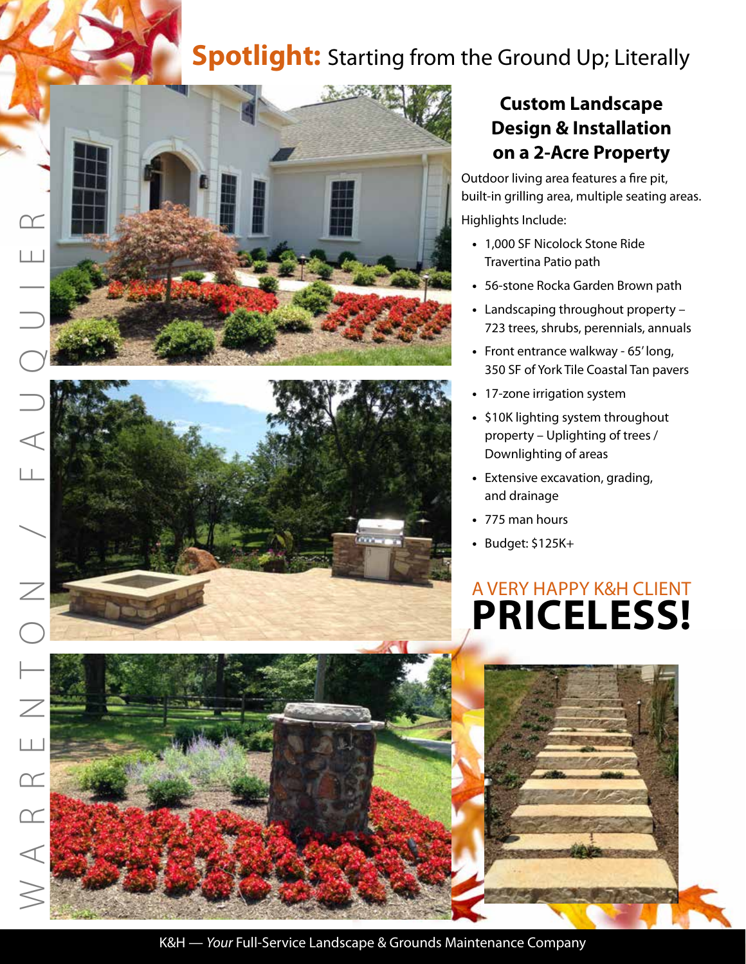## **Spotlight:** Starting from the Ground Up; Literally





 $\sqcup$ 

 $\Box$ 

 $\boxed{\mathcal{C}}$ 

 $\boxed{\curvearrowright}$ 

 $\triangleleft$ 

### **Custom Landscape Design & Installation on a 2-Acre Property**

Outdoor living area features a fire pit, built-in grilling area, multiple seating areas. Highlights Include:

- 1,000 SF Nicolock Stone Ride Travertina Patio path
- 56-stone Rocka Garden Brown path
- Landscaping throughout property 723 trees, shrubs, perennials, annuals
- Front entrance walkway 65' long, 350 SF of York Tile Coastal Tan pavers
- 17-zone irrigation system
- \$10K lighting system throughout property – Uplighting of trees / Downlighting of areas
- Extensive excavation, grading, and drainage
- 775 man hours
- Budget: \$125K+

# A VERY HAPPY K&H CLIENT **PRICELESS!**

K&H — *Your* Full-Service Landscape & Grounds Maintenance Company